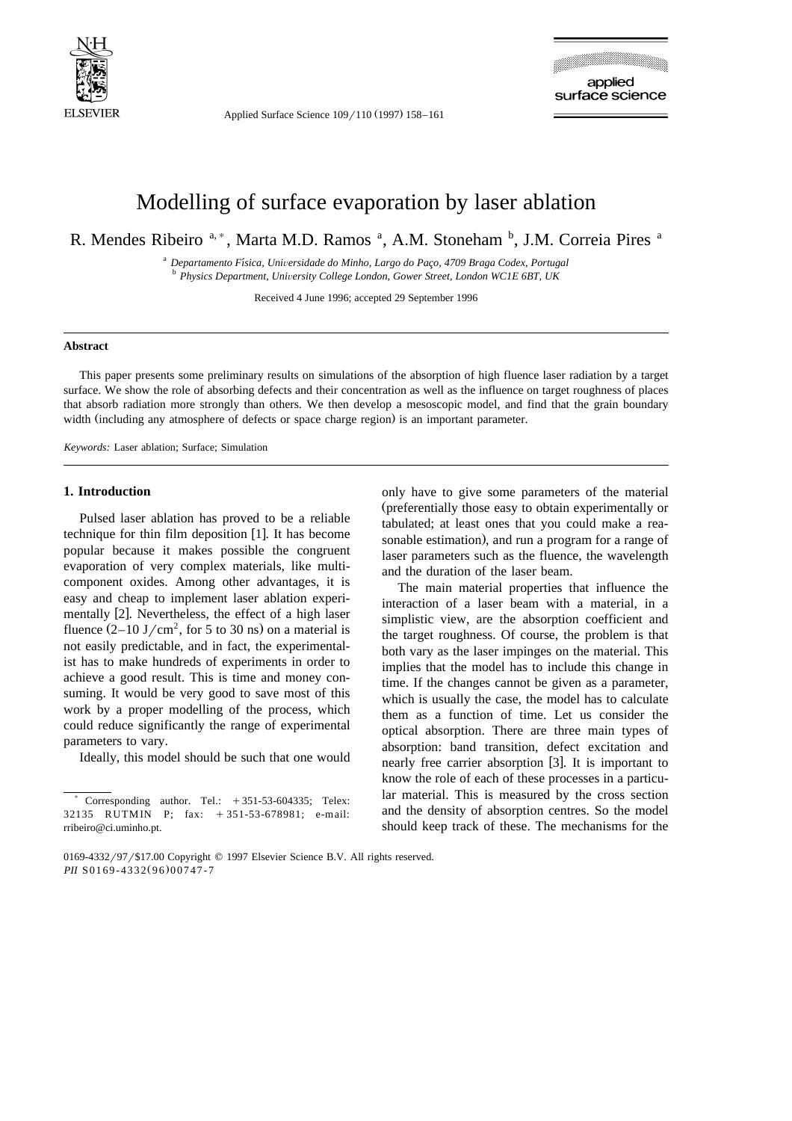

Applied Surface Science 109/110 (1997) 158-161



# Modelling of surface evaporation by laser ablation

R. Mendes Ribeiro <sup>a,\*</sup>, Marta M.D. Ramos <sup>a</sup>, A.M. Stoneham <sup>b</sup>, J.M. Correia Pires <sup>a</sup>

<sup>a</sup> Departamento Física, Universidade do Minho, Largo do Paço, 4709 Braga Codex, Portugal<br><sup>b</sup> *Physics Department, University College London, Gower Street, London WC1E 6BT, UK* 

Received 4 June 1996; accepted 29 September 1996

#### **Abstract**

This paper presents some preliminary results on simulations of the absorption of high fluence laser radiation by a target surface. We show the role of absorbing defects and their concentration as well as the influence on target roughness of places that absorb radiation more strongly than others. We then develop a mesoscopic model, and find that the grain boundary width (including any atmosphere of defects or space charge region) is an important parameter.

*Keywords:* Laser ablation; Surface; Simulation

## **1. Introduction**

Pulsed laser ablation has proved to be a reliable technique for thin film deposition  $[1]$ . It has become popular because it makes possible the congruent evaporation of very complex materials, like multicomponent oxides. Among other advantages, it is easy and cheap to implement laser ablation experimentally [2]. Nevertheless, the effect of a high laser fluence  $(2-10 \text{ J/cm}^2$ , for 5 to 30 ns) on a material is not easily predictable, and in fact, the experimentalist has to make hundreds of experiments in order to achieve a good result. This is time and money consuming. It would be very good to save most of this work by a proper modelling of the process, which could reduce significantly the range of experimental parameters to vary.

Ideally, this model should be such that one would

only have to give some parameters of the material (preferentially those easy to obtain experimentally or tabulated; at least ones that you could make a reasonable estimation), and run a program for a range of laser parameters such as the fluence, the wavelength and the duration of the laser beam.

The main material properties that influence the interaction of a laser beam with a material, in a simplistic view, are the absorption coefficient and the target roughness. Of course, the problem is that both vary as the laser impinges on the material. This implies that the model has to include this change in time. If the changes cannot be given as a parameter, which is usually the case, the model has to calculate them as a function of time. Let us consider the optical absorption. There are three main types of absorption: band transition, defect excitation and nearly free carrier absorption [3]. It is important to know the role of each of these processes in a particular material. This is measured by the cross section and the density of absorption centres. So the model should keep track of these. The mechanisms for the

Corresponding author. Tel.:  $+351-53-604335$ ; Telex: 32135 RUTMIN P; fax: +351-53-678981; e-mail: rribeiro@ci.uminho.pt.

<sup>0169-4332/97/\$17.00</sup> Copyright © 1997 Elsevier Science B.V. All rights reserved. *PII* S0169-4332(96)00747-7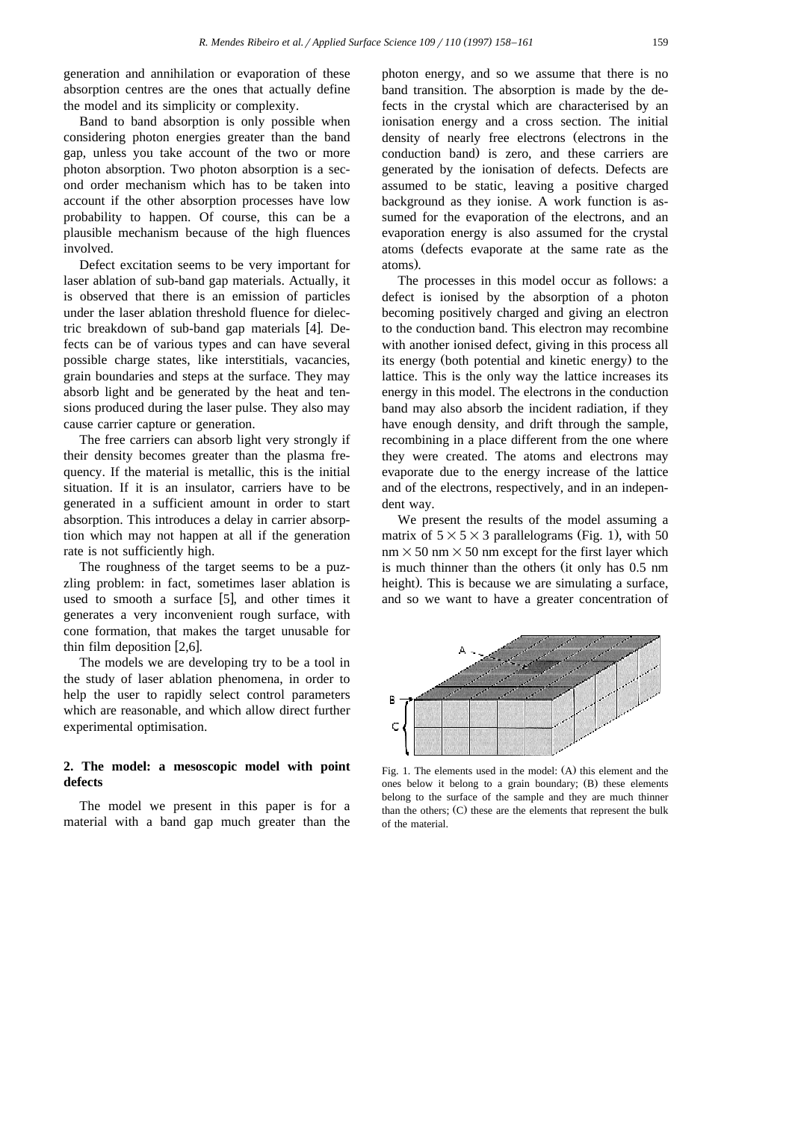generation and annihilation or evaporation of these absorption centres are the ones that actually define the model and its simplicity or complexity.

Band to band absorption is only possible when considering photon energies greater than the band gap, unless you take account of the two or more photon absorption. Two photon absorption is a second order mechanism which has to be taken into account if the other absorption processes have low probability to happen. Of course, this can be a plausible mechanism because of the high fluences involved.

Defect excitation seems to be very important for laser ablation of sub-band gap materials. Actually, it is observed that there is an emission of particles under the laser ablation threshold fluence for dielectric breakdown of sub-band gap materials  $[4]$ . Defects can be of various types and can have several possible charge states, like interstitials, vacancies, grain boundaries and steps at the surface. They may absorb light and be generated by the heat and tensions produced during the laser pulse. They also may cause carrier capture or generation.

The free carriers can absorb light very strongly if their density becomes greater than the plasma frequency. If the material is metallic, this is the initial situation. If it is an insulator, carriers have to be generated in a sufficient amount in order to start absorption. This introduces a delay in carrier absorption which may not happen at all if the generation rate is not sufficiently high.

The roughness of the target seems to be a puzzling problem: in fact, sometimes laser ablation is used to smooth a surface  $[5]$ , and other times it generates a very inconvenient rough surface, with cone formation, that makes the target unusable for thin film deposition  $[2,6]$ .

The models we are developing try to be a tool in the study of laser ablation phenomena, in order to help the user to rapidly select control parameters which are reasonable, and which allow direct further experimental optimisation.

# **2. The model: a mesoscopic model with point defects**

The model we present in this paper is for a material with a band gap much greater than the photon energy, and so we assume that there is no band transition. The absorption is made by the defects in the crystal which are characterised by an ionisation energy and a cross section. The initial density of nearly free electrons (electrons in the conduction band) is zero, and these carriers are generated by the ionisation of defects. Defects are assumed to be static, leaving a positive charged background as they ionise. A work function is assumed for the evaporation of the electrons, and an evaporation energy is also assumed for the crystal atoms (defects evaporate at the same rate as the atoms).

The processes in this model occur as follows: a defect is ionised by the absorption of a photon becoming positively charged and giving an electron to the conduction band. This electron may recombine with another ionised defect, giving in this process all its energy (both potential and kinetic energy) to the lattice. This is the only way the lattice increases its energy in this model. The electrons in the conduction band may also absorb the incident radiation, if they have enough density, and drift through the sample, recombining in a place different from the one where they were created. The atoms and electrons may evaporate due to the energy increase of the lattice and of the electrons, respectively, and in an independent way.

We present the results of the model assuming a matrix of  $5\times5\times3$  parallelograms (Fig. 1), with 50  $nm \times 50$  nm  $\times 50$  nm except for the first layer which is much thinner than the others (it only has 0.5 nm height). This is because we are simulating a surface, and so we want to have a greater concentration of



Fig. 1. The elements used in the model:  $(A)$  this element and the ones below it belong to a grain boundary; (B) these elements belong to the surface of the sample and they are much thinner than the others;  $(C)$  these are the elements that represent the bulk of the material.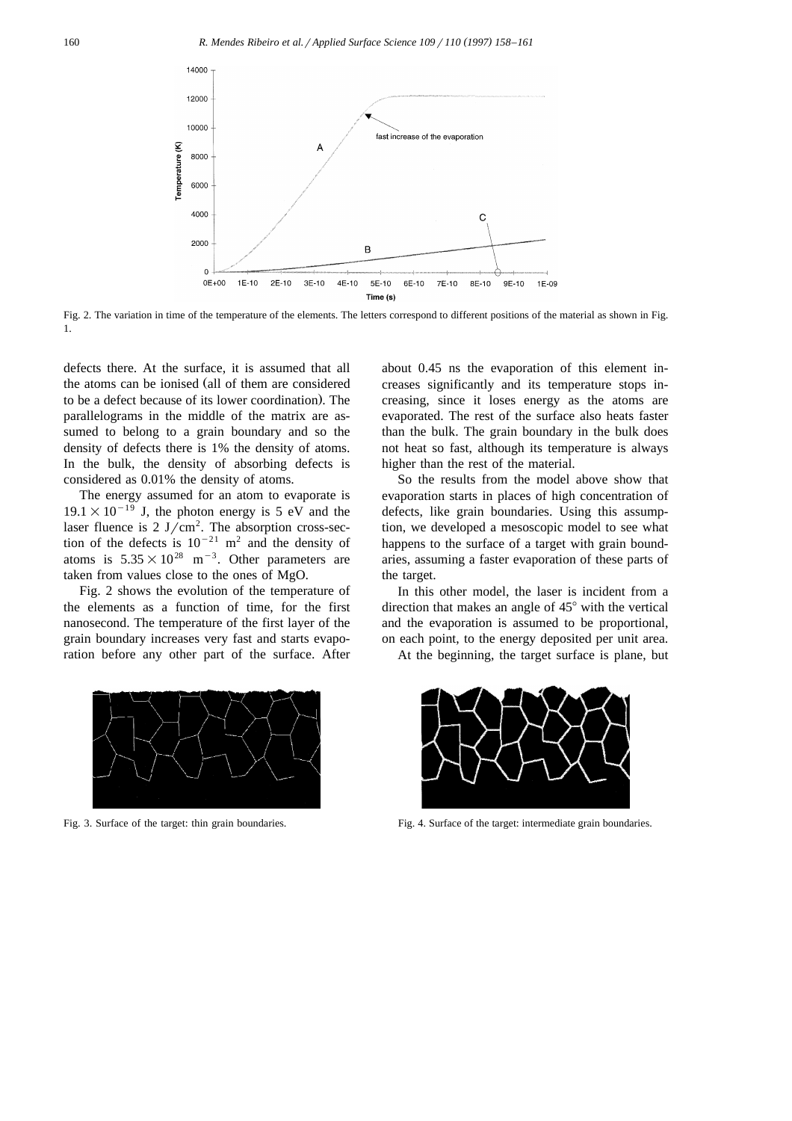

Fig. 2. The variation in time of the temperature of the elements. The letters correspond to different positions of the material as shown in Fig. 1.

defects there. At the surface, it is assumed that all the atoms can be ionised (all of them are considered to be a defect because of its lower coordination). The parallelograms in the middle of the matrix are assumed to belong to a grain boundary and so the density of defects there is 1% the density of atoms. In the bulk, the density of absorbing defects is considered as 0.01% the density of atoms.

The energy assumed for an atom to evaporate is  $19.1\times10^{-19}$  J, the photon energy is 5 eV and the laser fluence is  $2 \text{ J/cm}^2$ . The absorption cross-section of the defects is  $10^{-21}$  m<sup>2</sup> and the density of atoms is  $5.35 \times 10^{28}$  m<sup>-3</sup>. Other parameters are taken from values close to the ones of MgO.

Fig. 2 shows the evolution of the temperature of the elements as a function of time, for the first nanosecond. The temperature of the first layer of the grain boundary increases very fast and starts evaporation before any other part of the surface. After

Fig. 3. Surface of the target: thin grain boundaries.

about 0.45 ns the evaporation of this element increases significantly and its temperature stops increasing, since it loses energy as the atoms are evaporated. The rest of the surface also heats faster than the bulk. The grain boundary in the bulk does not heat so fast, although its temperature is always higher than the rest of the material.

So the results from the model above show that evaporation starts in places of high concentration of defects, like grain boundaries. Using this assumption, we developed a mesoscopic model to see what happens to the surface of a target with grain boundaries, assuming a faster evaporation of these parts of the target.

In this other model, the laser is incident from a direction that makes an angle of  $45^{\circ}$  with the vertical and the evaporation is assumed to be proportional, on each point, to the energy deposited per unit area.

At the beginning, the target surface is plane, but



Fig. 4. Surface of the target: intermediate grain boundaries.